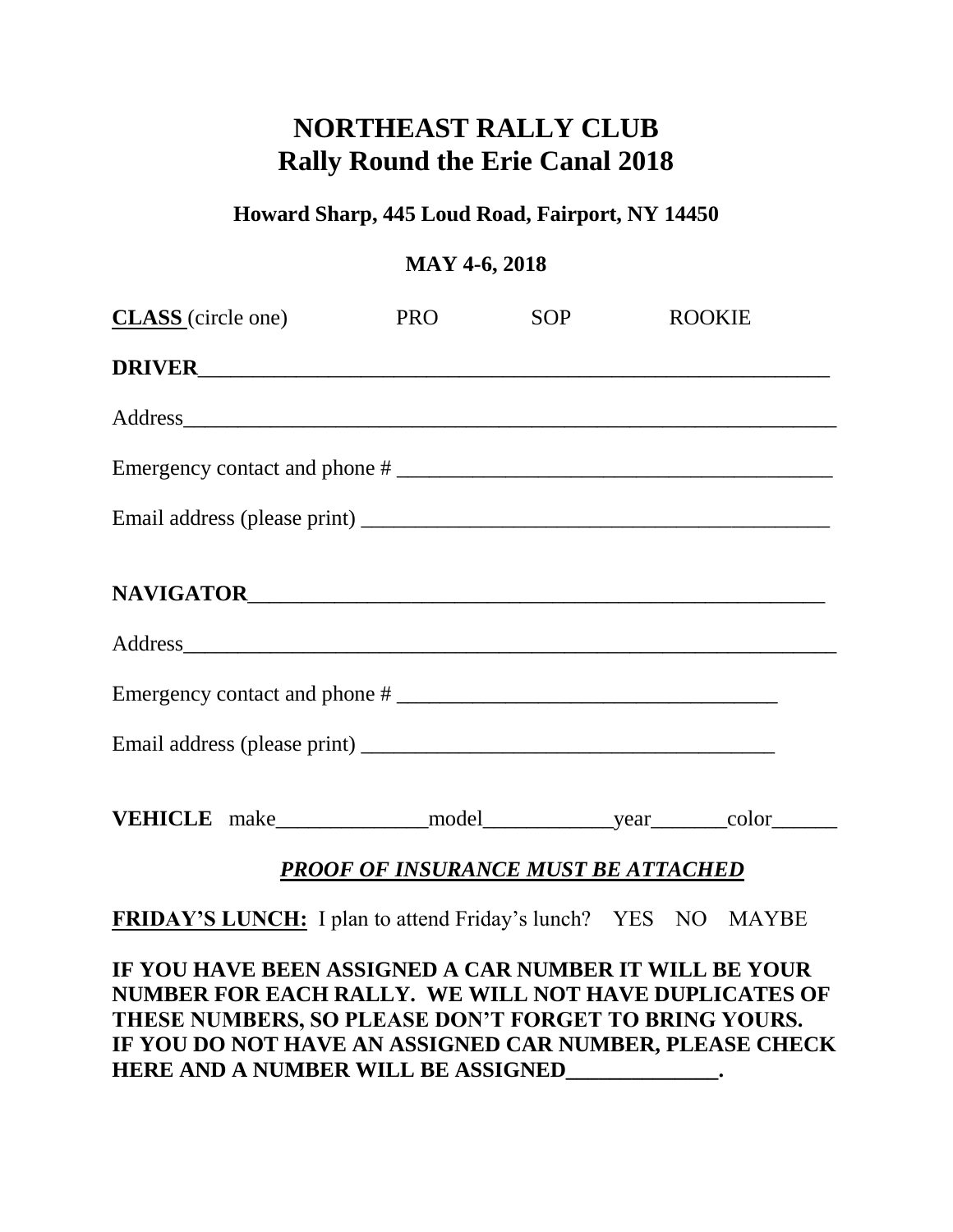# **NORTHEAST RALLY CLUB Rally Round the Erie Canal 2018**

## **Howard Sharp, 445 Loud Road, Fairport, NY 14450**

### **MAY 4-6, 2018**

| <b>CLASS</b> (circle one)                                                                                       | PRO SOP ROOKIE |  |  |  |  |
|-----------------------------------------------------------------------------------------------------------------|----------------|--|--|--|--|
|                                                                                                                 |                |  |  |  |  |
|                                                                                                                 |                |  |  |  |  |
|                                                                                                                 |                |  |  |  |  |
|                                                                                                                 |                |  |  |  |  |
|                                                                                                                 |                |  |  |  |  |
|                                                                                                                 |                |  |  |  |  |
|                                                                                                                 |                |  |  |  |  |
|                                                                                                                 |                |  |  |  |  |
|                                                                                                                 |                |  |  |  |  |
| <b>PROOF OF INSURANCE MUST BE ATTACHED</b>                                                                      |                |  |  |  |  |
| FRIDAY'S LUNCH: I plan to attend Friday's lunch? YES NO MAYBE                                                   |                |  |  |  |  |
| IF YOU HAVE BEEN ASSIGNED A CAR NUMBER IT WILL BE YOUR<br>NUMBER FOR EACH RALLY. WE WILL NOT HAVE DUPLICATES OF |                |  |  |  |  |

**THESE NUMBERS, SO PLEASE DON'T FORGET TO BRING YOURS. IF YOU DO NOT HAVE AN ASSIGNED CAR NUMBER, PLEASE CHECK HERE AND A NUMBER WILL BE ASSIGNED\_\_\_\_\_\_\_\_\_\_\_\_\_\_.**